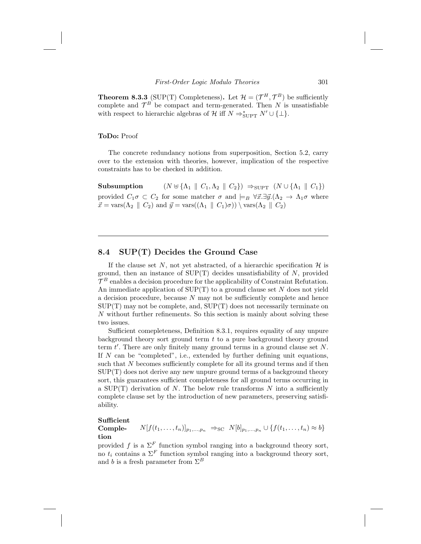**Theorem 8.3.3** (SUP(T) Completeness). Let  $\mathcal{H} = (\mathcal{T}^H, \mathcal{T}^B)$  be sufficiently complete and  $\mathcal{T}^B$  be compact and term-generated. Then N is unsatisfiable with respect to hierarchic algebras of  $\mathcal{H}$  iff  $N \Rightarrow_{\text{SUPT}}^* N' \cup \{\perp\}.$ 

## ToDo: Proof

The concrete redundancy notions from superposition, Section 5.2, carry over to the extension with theories, however, implication of the respective constraints has to be checked in addition.

Subsumption  $(N \uplus {\Lambda_1 \parallel C_1,\Lambda_2 \parallel C_2}) \Rightarrow_{\text{SUPT}} (N \cup {\Lambda_1 \parallel C_1})$ provided  $C_1\sigma \subset C_2$  for some matcher  $\sigma$  and  $\models_B \forall \vec{x}.\exists \vec{y}.(\Lambda_2 \to \Lambda_1\sigma$  where  $\vec{x} = \text{vars}(\Lambda_2 \parallel C_2)$  and  $\vec{y} = \text{vars}((\Lambda_1 \parallel C_1)\sigma)) \setminus \text{vars}(\Lambda_2 \parallel C_2)$ 

## 8.4 SUP(T) Decides the Ground Case

If the clause set N, not yet abstracted, of a hierarchic specification  $\mathcal{H}$  is ground, then an instance of  $\text{SUP}(T)$  decides unsatisfiability of N, provided  $\mathcal{T}^B$  enables a decision procedure for the applicability of Constraint Refutation. An immediate application of  $\text{SUP}(T)$  to a ground clause set N does not yield a decision procedure, because  $N$  may not be sufficiently complete and hence  $SUP(T)$  may not be complete, and,  $SUP(T)$  does not necessarily terminate on N without further refinements. So this section is mainly about solving these two issues.

Sufficient comepleteness, Definition 8.3.1, requires equality of any unpure background theory sort ground term  $t$  to a pure background theory ground term  $t'$ . There are only finitely many ground terms in a ground clause set  $N$ . If  $N$  can be "completed", i.e., extended by further defining unit equations, such that N becomes sufficiently complete for all its ground terms and if then  $SUP(T)$  does not derive any new unpure ground terms of a background theory sort, this guarantees sufficient completeness for all ground terms occurring in a  $\text{SUP}(T)$  derivation of N. The below rule transforms N into a sufficiently complete clause set by the introduction of new parameters, preserving satisfiability.

## Sufficient

Completion  $N[f(t_1,..., t_n)]_{p_1,...,p_n} \Rightarrow_{\text{SC}} N[b]_{p_1,...,p_n} \cup \{f(t_1,..., t_n) \approx b\}$ 

provided f is a  $\Sigma^F$  function symbol ranging into a background theory sort, no  $t_i$  contains a  $\Sigma^F$  function symbol ranging into a background theory sort, and b is a fresh parameter from  $\Sigma^B$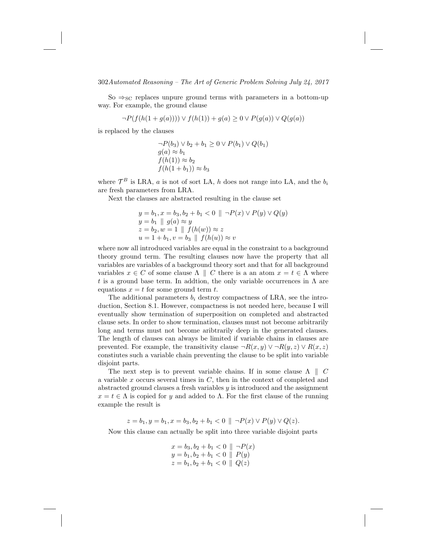302Automated Reasoning – The Art of Generic Problem Solving July 24, 2017

So  $\Rightarrow_{SC}$  replaces unpure ground terms with parameters in a bottom-up way. For example, the ground clause

$$
\neg P(f(h(1+g(a)))) \lor f(h(1)) + g(a) \ge 0 \lor P(g(a)) \lor Q(g(a))
$$

is replaced by the clauses

$$
\neg P(b_3) \lor b_2 + b_1 \ge 0 \lor P(b_1) \lor Q(b_1)
$$
  
\n
$$
g(a) \approx b_1
$$
  
\n
$$
f(h(1)) \approx b_2
$$
  
\n
$$
f(h(1 + b_1)) \approx b_3
$$

where  $\mathcal{T}^B$  is LRA, a is not of sort LA, h does not range into LA, and the  $b_i$ are fresh parameters from LRA.

Next the clauses are abstracted resulting in the clause set

$$
y = b_1, x = b_3, b_2 + b_1 < 0 \parallel \neg P(x) \lor P(y) \lor Q(y)
$$
  
\n
$$
y = b_1 \parallel g(a) \approx y
$$
  
\n
$$
z = b_2, w = 1 \parallel f(h(w)) \approx z
$$
  
\n
$$
u = 1 + b_1, v = b_3 \parallel f(h(u)) \approx v
$$

where now all introduced variables are equal in the constraint to a background theory ground term. The resulting clauses now have the property that all variables are variables of a background theory sort and that for all background variables  $x \in C$  of some clause  $\Lambda \parallel C$  there is a an atom  $x = t \in \Lambda$  where t is a ground base term. In addtion, the only variable occurrences in  $\Lambda$  are equations  $x = t$  for some ground term t.

The additional parameters  $b_i$  destroy compactness of LRA, see the introduction, Section 8.1. However, compactness is not needed here, because I will eventually show termination of superposition on completed and abstracted clause sets. In order to show termination, clauses must not become arbitrarily long and terms must not become aribtrarily deep in the generated clauses. The length of clauses can always be limited if variable chains in clauses are prevented. For example, the transitivity clause  $\neg R(x, y) \vee \neg R(y, z) \vee R(x, z)$ constiutes such a variable chain preventing the clause to be split into variable disjoint parts.

The next step is to prevent variable chains. If in some clause  $\Lambda \parallel C$ a variable  $x$  occurs several times in  $C$ , then in the context of completed and abstracted ground clauses a fresh variables  $\gamma$  is introduced and the assignment  $x = t \in \Lambda$  is copied for y and added to  $\Lambda$ . For the first clause of the running example the result is

 $z = b_1, y = b_1, x = b_3, b_2 + b_1 < 0 \parallel \neg P(x) \vee P(y) \vee Q(z).$ 

Now this clause can actually be split into three variable disjoint parts

$$
x = b_3, b_2 + b_1 < 0 \parallel \neg P(x)
$$
\n
$$
y = b_1, b_2 + b_1 < 0 \parallel P(y)
$$
\n
$$
z = b_1, b_2 + b_1 < 0 \parallel Q(z)
$$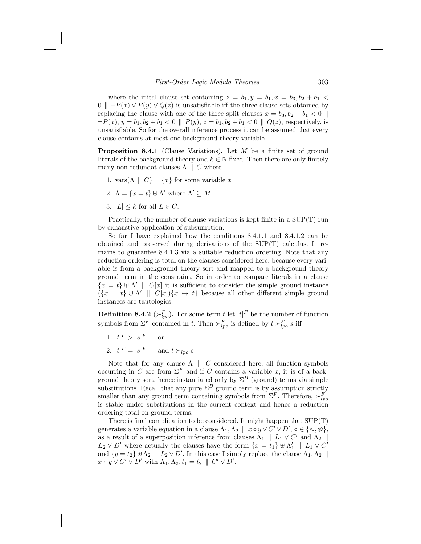where the initial clause set containing  $z = b_1, y = b_1, x = b_3, b_2 + b_1$ 0  $\parallel$  ¬P(x) ∨ P(y) ∨ Q(z) is unsatisfiable iff the three clause sets obtained by replacing the clause with one of the three split clauses  $x = b_3, b_2 + b_1 < 0$  $\neg P(x), y = b_1, b_2 + b_1 < 0 \parallel P(y), z = b_1, b_2 + b_1 < 0 \parallel Q(z)$ , respectively, is unsatisfiable. So for the overall inference process it can be assumed that every clause contains at most one background theory variable.

**Proposition 8.4.1** (Clause Variations). Let  $M$  be a finite set of ground literals of the background theory and  $k \in \mathbb{N}$  fixed. Then there are only finitely many non-redundat clauses  $\Lambda \parallel C$  where

- 1. vars( $\Lambda \parallel C$ ) = {x} for some variable x
- 2.  $\Lambda = \{x = t\} \uplus \Lambda'$  where  $\Lambda' \subseteq M$
- 3.  $|L| < k$  for all  $L \in C$ .

Practically, the number of clause variations is kept finite in a SUP(T) run by exhaustive application of subsumption.

So far I have explained how the conditions 8.4.1.1 and 8.4.1.2 can be obtained and preserved during derivations of the SUP(T) calculus. It remains to guarantee 8.4.1.3 via a suitable reduction ordering. Note that any reduction ordering is total on the clauses considered here, because every variable is from a background theory sort and mapped to a background theory ground term in the constraint. So in order to compare literals in a clause  ${x = t} \oplus \Lambda' \parallel C[x]$  it is sufficient to consider the simple ground instance  $({x = t} \cup \Lambda' \parallel C[x])$ {x  $\mapsto t$ } because all other different simple ground instances are tautologies.

**Definition 8.4.2** ( $\succ^F_{lpo}$ ). For some term t let  $|t|^F$  be the number of function symbols from  $\Sigma^F$  contained in t. Then  $\succ^F_{lpo}$  is defined by  $t \succ^F_{lpo} s$  iff

- 1.  $|t|^F > |s|$ <sup>F</sup> or
- 2.  $|t|^F = |s|^F$  and  $t >_{lpo} s$

Note that for any clause  $\Lambda \parallel C$  considered here, all function symbols occurring in C are from  $\Sigma^F$  and if C contains a variable x, it is of a background theory sort, hence instantiated only by  $\Sigma^B$  (ground) terms via simple substitutions. Recall that any pure  $\Sigma^B$  ground term is by assumption strictly smaller than any ground term containing symbols from  $\Sigma^F$ . Therefore,  $\succ^F_{lpo}$ is stable under substitutions in the current context and hence a reduction ordering total on ground terms.

There is final complication to be considered. It might happen that SUP(T) generates a variable equation in a clause  $\Lambda_1, \Lambda_2 \parallel x \circ y \vee C' \vee D', \circ \in \{\infty, \frac{\omega}{\epsilon}\},\$ as a result of a superposition inference from clauses  $\Lambda_1 \parallel L_1 \vee C'$  and  $\Lambda_2 \parallel$  $L_2 \vee D'$  where actually the clauses have the form  $\{x = t_1\} \uplus \Lambda'_1 \parallel L_1 \vee C'$ and  $\{y = t_2\} \cup \Lambda_2 \parallel L_2 \vee D'$ . In this case I simply replace the clause  $\Lambda_1, \Lambda_2 \parallel$  $x \circ y \vee C' \vee D'$  with  $\Lambda_1, \Lambda_2, t_1 = t_2 \parallel C' \vee D'.$